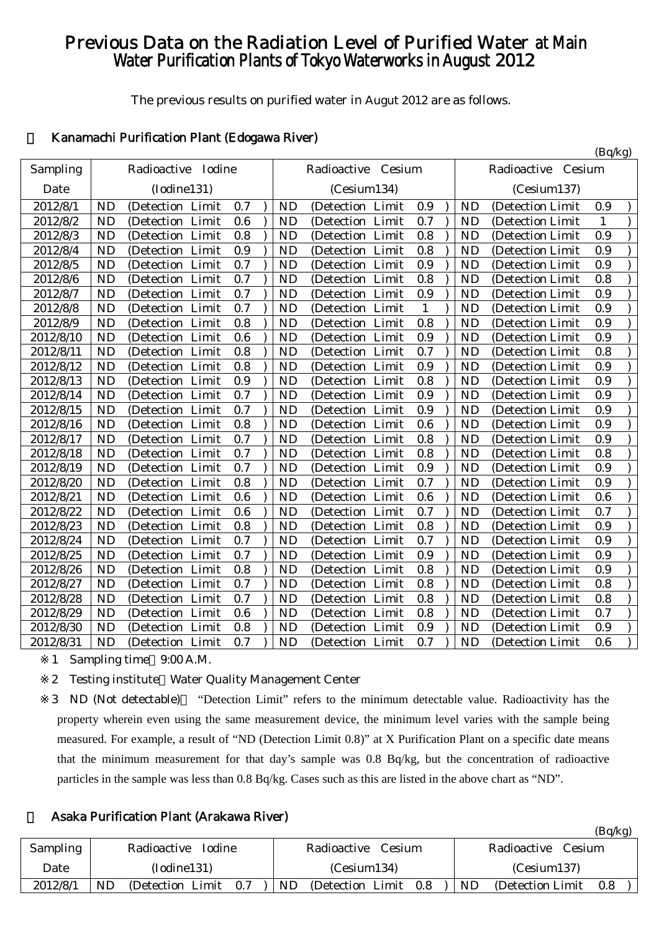# Previous Data on the Radiation Level of Purified Water at Main Water Purification Plants of Tokyo Waterworks in August 2012

The previous results on purified water in Augut 2012 are as follows.

 $(B<sub>a</sub>/k<sub>a</sub>)$ 

# 1 Kanamachi Purification Plant (Edogawa River)

|           |                                          |           |                      |              |           |                    | $(\nu q \nu_{5})$ |
|-----------|------------------------------------------|-----------|----------------------|--------------|-----------|--------------------|-------------------|
| Sampling  | Radioactive Iodine                       |           | Radioactive Cesium   |              |           | Radioactive Cesium |                   |
| Date      | (Iodine131)                              |           | (Cesium134)          |              |           | (Cesium137)        |                   |
| 2012/8/1  | <b>ND</b><br>(Detection Limit<br>0.7     | <b>ND</b> | (Detection Limit     | 0.9          | <b>ND</b> | (Detection Limit   | 0.9               |
| 2012/8/2  | 0.6<br>(Detection Limit<br><b>ND</b>     | <b>ND</b> | (Detection Limit     | 0.7          | <b>ND</b> | (Detection Limit   | $\mathbf{1}$      |
| 2012/8/3  | 0.8<br><b>ND</b><br>(Detection Limit     | <b>ND</b> | (Detection Limit     | 0.8          | <b>ND</b> | (Detection Limit   | 0.9               |
| 2012/8/4  | 0.9<br><b>ND</b><br>(Detection Limit     | <b>ND</b> | (Detection Limit     | 0.8          | <b>ND</b> | (Detection Limit   | 0.9               |
| 2012/8/5  | <b>ND</b><br>0.7<br>(Detection Limit     | <b>ND</b> | (Detection Limit     | 0.9          | <b>ND</b> | (Detection Limit   | 0.9               |
| 2012/8/6  | 0.7<br><b>ND</b><br>(Detection Limit     | <b>ND</b> | (Detection Limit     | 0.8          | <b>ND</b> | (Detection Limit   | 0.8               |
| 2012/8/7  | 0.7<br>(Detection Limit<br><b>ND</b>     | <b>ND</b> | (Detection Limit     | 0.9          | <b>ND</b> | (Detection Limit   | 0.9               |
| 2012/8/8  | 0.7<br><b>ND</b><br>(Detection Limit     | <b>ND</b> | (Detection Limit     | $\mathbf{1}$ | <b>ND</b> | (Detection Limit   | 0.9               |
| 2012/8/9  | <b>ND</b><br>(Detection Limit<br>0.8     | <b>ND</b> | (Detection Limit     | 0.8          | <b>ND</b> | (Detection Limit   | 0.9               |
| 2012/8/10 | <b>ND</b><br>(Detection Limit<br>0.6     | <b>ND</b> | (Detection Limit     | 0.9          | <b>ND</b> | (Detection Limit   | 0.9               |
| 2012/8/11 | 0.8<br><b>ND</b><br>(Detection Limit     | <b>ND</b> | (Detection Limit     | 0.7          | <b>ND</b> | (Detection Limit)  | 0.8               |
| 2012/8/12 | 0.8<br><b>ND</b><br>(Detection Limit     | <b>ND</b> | (Detection Limit     | 0.9          | <b>ND</b> | (Detection Limit   | 0.9               |
| 2012/8/13 | 0.9<br><b>ND</b><br>(Detection Limit     | <b>ND</b> | (Detection Limit     | 0.8          | <b>ND</b> | (Detection Limit   | 0.9               |
| 2012/8/14 | <b>ND</b><br>0.7<br>(Detection<br>Limit  | <b>ND</b> | (Detection Limit     | 0.9          | <b>ND</b> | (Detection Limit   | 0.9               |
| 2012/8/15 | <b>ND</b><br>0.7<br>Limit<br>(Detection  | <b>ND</b> | (Detection Limit     | 0.9          | <b>ND</b> | (Detection Limit   | 0.9               |
| 2012/8/16 | 0.8<br><b>ND</b><br>(Detection Limit     | <b>ND</b> | (Detection Limit     | 0.6          | <b>ND</b> | (Detection Limit)  | 0.9               |
| 2012/8/17 | <b>ND</b><br>(Detection Limit<br>0.7     | <b>ND</b> | (Detection Limit     | 0.8          | <b>ND</b> | (Detection Limit   | 0.9               |
| 2012/8/18 | 0.7<br><b>ND</b><br>Limit<br>(Detection) | <b>ND</b> | (Detection Limit     | 0.8          | <b>ND</b> | (Detection Limit   | 0.8               |
| 2012/8/19 | <b>ND</b><br>Limit<br>0.7<br>(Detection  | <b>ND</b> | (Detection Limit     | 0.9          | <b>ND</b> | (Detection Limit   | 0.9               |
| 2012/8/20 | <b>ND</b><br>0.8<br>Limit<br>(Detection  | <b>ND</b> | Limit<br>(Detection  | 0.7          | <b>ND</b> | (Detection Limit   | 0.9               |
| 2012/8/21 | 0.6<br><b>ND</b><br>(Detection Limit     | <b>ND</b> | (Detection Limit     | 0.6          | <b>ND</b> | (Detection Limit   | 0.6               |
| 2012/8/22 | 0.6<br><b>ND</b><br>(Detection Limit     | <b>ND</b> | (Detection Limit     | 0.7          | <b>ND</b> | (Detection Limit   | 0.7               |
| 2012/8/23 | 0.8<br><b>ND</b><br>(Detection Limit     | <b>ND</b> | (Detection Limit     | 0.8          | <b>ND</b> | (Detection Limit   | 0.9               |
| 2012/8/24 | <b>ND</b><br>0.7<br>Limit<br>(Detection  | <b>ND</b> | Limit<br>(Detection) | 0.7          | <b>ND</b> | (Detection Limit   | 0.9               |
| 2012/8/25 | 0.7<br><b>ND</b><br>(Detection<br>Limit  | <b>ND</b> | Limit<br>(Detection  | 0.9          | <b>ND</b> | (Detection Limit   | 0.9               |
| 2012/8/26 | <b>ND</b><br>0.8<br>(Detection Limit     | <b>ND</b> | (Detection Limit     | 0.8          | <b>ND</b> | (Detection Limit   | 0.9               |
| 2012/8/27 | 0.7<br><b>ND</b><br>(Detection Limit     | <b>ND</b> | Limit<br>(Detection  | 0.8          | <b>ND</b> | (Detection Limit   | 0.8               |
| 2012/8/28 | 0.7<br><b>ND</b><br>Limit<br>(Detection  | <b>ND</b> | (Detection Limit     | 0.8          | <b>ND</b> | (Detection Limit   | 0.8               |
| 2012/8/29 | <b>ND</b><br>0.6<br>Limit<br>(Detection  | <b>ND</b> | Limit<br>(Detection) | 0.8          | <b>ND</b> | (Detection Limit   | 0.7               |
| 2012/8/30 | <b>ND</b><br>0.8<br>Limit<br>(Detection  | <b>ND</b> | (Detection Limit     | 0.9          | <b>ND</b> | (Detection Limit   | 0.9               |
| 2012/8/31 | <b>ND</b><br>0.7<br>(Detection Limit     | <b>ND</b> | (Detection Limit     | 0.7          | <b>ND</b> | (Detection Limit)  | 0.6               |

1 Sampling time 9:00 A.M.

2 Testing institute Water Quality Management Center

3 ND (Not detectable) "Detection Limit" refers to the minimum detectable value. Radioactivity has the property wherein even using the same measurement device, the minimum level varies with the sample being measured. For example, a result of "ND (Detection Limit 0.8)" at X Purification Plant on a specific date means that the minimum measurement for that day's sample was 0.8 Bq/kg, but the concentration of radioactive particles in the sample was less than 0.8 Bq/kg. Cases such as this are listed in the above chart as "ND".

# 2 Asaka Purification Plant (Arakawa River)

|          |    |                   |               |     |    |                   |               |     |    |                    |  | (Bq/kg) |  |
|----------|----|-------------------|---------------|-----|----|-------------------|---------------|-----|----|--------------------|--|---------|--|
| Sampling |    | Radioactive       | <b>Iodine</b> |     |    | Radioactive       | <b>Cesium</b> |     |    | Radioactive Cesium |  |         |  |
| Date     |    | (Iodine131)       |               |     |    | (Cesium134)       |               |     |    | (Cesium137)        |  |         |  |
| 2012/8/1 | ND | (Detection Limit) |               | 0.7 | ND | (Detection Limit) |               | 0.8 | ND | (Detection Limit)  |  | 0.8     |  |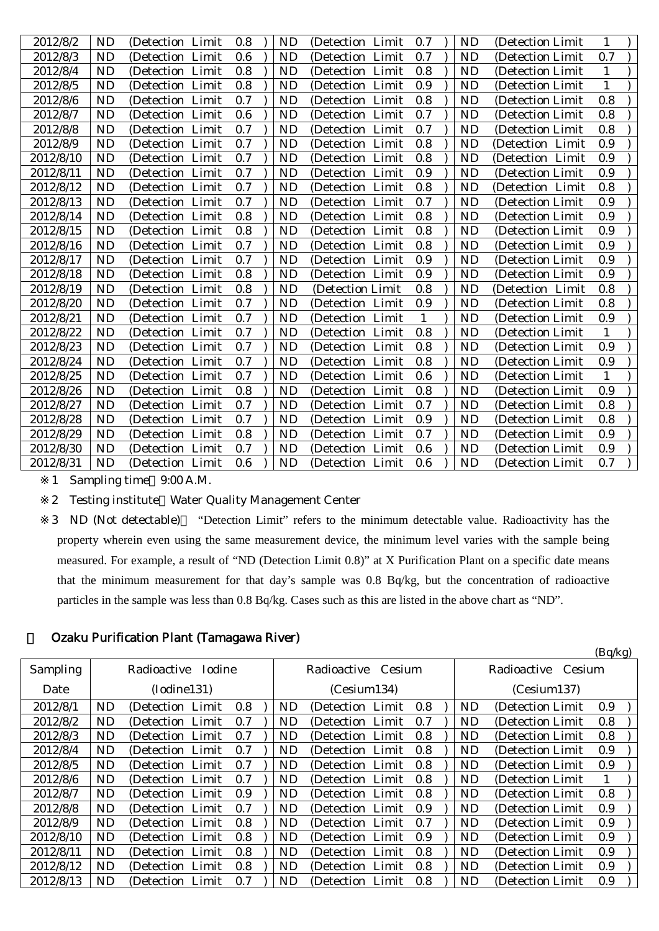| 2012/8/2  | <b>ND</b> | (Detection Limit) | 0.8 | <b>ND</b> | (Detection Limit)    | 0.7 | <b>ND</b> | (Detection Limit) | 1            |  |
|-----------|-----------|-------------------|-----|-----------|----------------------|-----|-----------|-------------------|--------------|--|
| 2012/8/3  | ND        | (Detection Limit  | 0.6 | ND        | (Detection Limit     | 0.7 | ND        | (Detection Limit  | 0.7          |  |
| 2012/8/4  | <b>ND</b> | (Detection Limit  | 0.8 | <b>ND</b> | (Detection Limit     | 0.8 | <b>ND</b> | (Detection Limit) | $\mathbf{1}$ |  |
| 2012/8/5  | <b>ND</b> | (Detection Limit  | 0.8 | <b>ND</b> | (Detection Limit     | 0.9 | <b>ND</b> | (Detection Limit) | $\mathbf{1}$ |  |
| 2012/8/6  | ND        | (Detection Limit) | 0.7 | ND        | (Detection Limit     | 0.8 | <b>ND</b> | (Detection Limit) | 0.8          |  |
| 2012/8/7  | <b>ND</b> | (Detection Limit  | 0.6 | ND        | (Detection Limit     | 0.7 | <b>ND</b> | (Detection Limit) | 0.8          |  |
| 2012/8/8  | <b>ND</b> | (Detection Limit  | 0.7 | ND        | (Detection Limit     | 0.7 | <b>ND</b> | (Detection Limit) | 0.8          |  |
| 2012/8/9  | <b>ND</b> | (Detection Limit) | 0.7 | <b>ND</b> | (Detection Limit)    | 0.8 | <b>ND</b> | (Detection Limit) | 0.9          |  |
| 2012/8/10 | <b>ND</b> | (Detection Limit) | 0.7 | <b>ND</b> | (Detection Limit     | 0.8 | <b>ND</b> | (Detection Limit  | 0.9          |  |
| 2012/8/11 | <b>ND</b> | (Detection Limit  | 0.7 | <b>ND</b> | (Detection<br>Limit  | 0.9 | <b>ND</b> | (Detection Limit  | 0.9          |  |
| 2012/8/12 | <b>ND</b> | (Detection Limit  | 0.7 | <b>ND</b> | Limit<br>(Detection) | 0.8 | <b>ND</b> | (Detection Limit  | 0.8          |  |
| 2012/8/13 | <b>ND</b> | (Detection Limit  | 0.7 | <b>ND</b> | Limit<br>(Detection) | 0.7 | <b>ND</b> | (Detection Limit  | 0.9          |  |
| 2012/8/14 | <b>ND</b> | (Detection Limit  | 0.8 | <b>ND</b> | Limit<br>(Detection) | 0.8 | <b>ND</b> | (Detection Limit  | 0.9          |  |
| 2012/8/15 | <b>ND</b> | (Detection Limit  | 0.8 | ND        | Limit<br>(Detection) | 0.8 | <b>ND</b> | (Detection Limit) | 0.9          |  |
| 2012/8/16 | <b>ND</b> | (Detection Limit  | 0.7 | <b>ND</b> | (Detection Limit     | 0.8 | <b>ND</b> | (Detection Limit) | 0.9          |  |
| 2012/8/17 | <b>ND</b> | (Detection Limit  | 0.7 | ND        | Limit<br>(Detection  | 0.9 | ND        | (Detection Limit) | 0.9          |  |
| 2012/8/18 | <b>ND</b> | (Detection Limit  | 0.8 | <b>ND</b> | (Detection Limit     | 0.9 | <b>ND</b> | (Detection Limit) | 0.9          |  |
| 2012/8/19 | <b>ND</b> | (Detection Limit  | 0.8 | <b>ND</b> | (Detection Limit     | 0.8 | <b>ND</b> | (Detection Limit  | 0.8          |  |
| 2012/8/20 | <b>ND</b> | (Detection Limit) | 0.7 | ND        | (Detection Limit     | 0.9 | ND        | (Detection Limit) | 0.8          |  |
| 2012/8/21 | ND        | (Detection Limit  | 0.7 | ND        | (Detection Limit     |     | ND        | (Detection Limit) | 0.9          |  |
| 2012/8/22 | <b>ND</b> | (Detection Limit) | 0.7 | <b>ND</b> | (Detection Limit     | 0.8 | <b>ND</b> | (Detection Limit) | $\mathbf{1}$ |  |
| 2012/8/23 | <b>ND</b> | (Detection Limit) | 0.7 | <b>ND</b> | (Detection Limit     | 0.8 | <b>ND</b> | (Detection Limit) | 0.9          |  |
| 2012/8/24 | <b>ND</b> | (Detection Limit  | 0.7 | ND        | (Detection Limit     | 0.8 | ND        | (Detection Limit) | 0.9          |  |
| 2012/8/25 | <b>ND</b> | (Detection Limit  | 0.7 | <b>ND</b> | (Detection Limit     | 0.6 | <b>ND</b> | (Detection Limit) | 1            |  |
| 2012/8/26 | ND        | (Detection Limit  | 0.8 | ND        | (Detection Limit     | 0.8 | ND        | (Detection Limit) | 0.9          |  |
| 2012/8/27 | <b>ND</b> | (Detection Limit) | 0.7 | <b>ND</b> | (Detection Limit     | 0.7 | <b>ND</b> | (Detection Limit) | 0.8          |  |
| 2012/8/28 | <b>ND</b> | (Detection Limit  | 0.7 | ND        | (Detection Limit     | 0.9 | ND        | (Detection Limit) | 0.8          |  |
| 2012/8/29 | <b>ND</b> | (Detection Limit  | 0.8 | <b>ND</b> | Limit<br>(Detection) | 0.7 | <b>ND</b> | (Detection Limit) | 0.9          |  |
| 2012/8/30 | <b>ND</b> | (Detection Limit  | 0.7 | ND        | (Detection Limit     | 0.6 | <b>ND</b> | (Detection Limit  | 0.9          |  |
| 2012/8/31 | <b>ND</b> | (Detection Limit) | 0.6 | <b>ND</b> | (Detection Limit)    | 0.6 | <b>ND</b> | (Detection Limit) | 0.7          |  |
|           |           |                   |     |           |                      |     |           |                   |              |  |

1 Sampling time 9:00 A.M.

2 Testing institute Water Quality Management Center

3 ND (Not detectable) "Detection Limit" refers to the minimum detectable value. Radioactivity has the property wherein even using the same measurement device, the minimum level varies with the sample being measured. For example, a result of "ND (Detection Limit 0.8)" at X Purification Plant on a specific date means that the minimum measurement for that day's sample was 0.8 Bq/kg, but the concentration of radioactive particles in the sample was less than 0.8 Bq/kg. Cases such as this are listed in the above chart as "ND".

(Bq/kg)

# 3 Ozaku Purification Plant (Tamagawa River)

| Sampling  |           | Radioactive<br><b>Iodine</b> |     |  |    | Radioactive<br>Cesium |     | Radioactive<br><b>Cesium</b> |                   |     |  |
|-----------|-----------|------------------------------|-----|--|----|-----------------------|-----|------------------------------|-------------------|-----|--|
| Date      |           | (Iodine131)                  |     |  |    | (Cesium134)           |     |                              | (Cesium137)       |     |  |
| 2012/8/1  | ND        | (Detection Limit)            | 0.8 |  | ND | (Detection Limit)     | 0.8 | <b>ND</b>                    | (Detection Limit) | 0.9 |  |
| 2012/8/2  | <b>ND</b> | (Detection Limit)            | 0.7 |  | ND | (Detection Limit)     | 0.7 | <b>ND</b>                    | (Detection Limit) | 0.8 |  |
| 2012/8/3  | ND        | (Detection Limit)            | 0.7 |  | ND | (Detection Limit)     | 0.8 | <b>ND</b>                    | (Detection Limit) | 0.8 |  |
| 2012/8/4  | ND        | (Detection Limit)            | 0.7 |  | ND | (Detection Limit)     | 0.8 | <b>ND</b>                    | (Detection Limit) | 0.9 |  |
| 2012/8/5  | <b>ND</b> | (Detection Limit)            | 0.7 |  | ND | (Detection Limit)     | 0.8 | ND                           | (Detection Limit) | 0.9 |  |
| 2012/8/6  | <b>ND</b> | (Detection Limit)            | 0.7 |  | ND | (Detection Limit)     | 0.8 | <b>ND</b>                    | (Detection Limit) |     |  |
| 2012/8/7  | <b>ND</b> | (Detection Limit)            | 0.9 |  | ND | (Detection Limit)     | 0.8 | <b>ND</b>                    | (Detection Limit) | 0.8 |  |
| 2012/8/8  | <b>ND</b> | (Detection Limit)            | 0.7 |  | ND | (Detection Limit)     | 0.9 | ND                           | (Detection Limit) | 0.9 |  |
| 2012/8/9  | <b>ND</b> | (Detection Limit)            | 0.8 |  | ND | (Detection Limit)     | 0.7 | ND                           | (Detection Limit) | 0.9 |  |
| 2012/8/10 | <b>ND</b> | (Detection Limit)            | 0.8 |  | ND | (Detection Limit)     | 0.9 | <b>ND</b>                    | (Detection Limit) | 0.9 |  |
| 2012/8/11 | ND        | (Detection Limit)            | 0.8 |  | ND | (Detection Limit)     | 0.8 | <b>ND</b>                    | (Detection Limit) | 0.9 |  |
| 2012/8/12 | <b>ND</b> | (Detection Limit)            | 0.8 |  | ND | (Detection Limit)     | 0.8 | ND                           | (Detection Limit) | 0.9 |  |
| 2012/8/13 | <b>ND</b> | (Detection Limit)            | 0.7 |  | ND | (Detection Limit)     | 0.8 | <b>ND</b>                    | (Detection Limit) | 0.9 |  |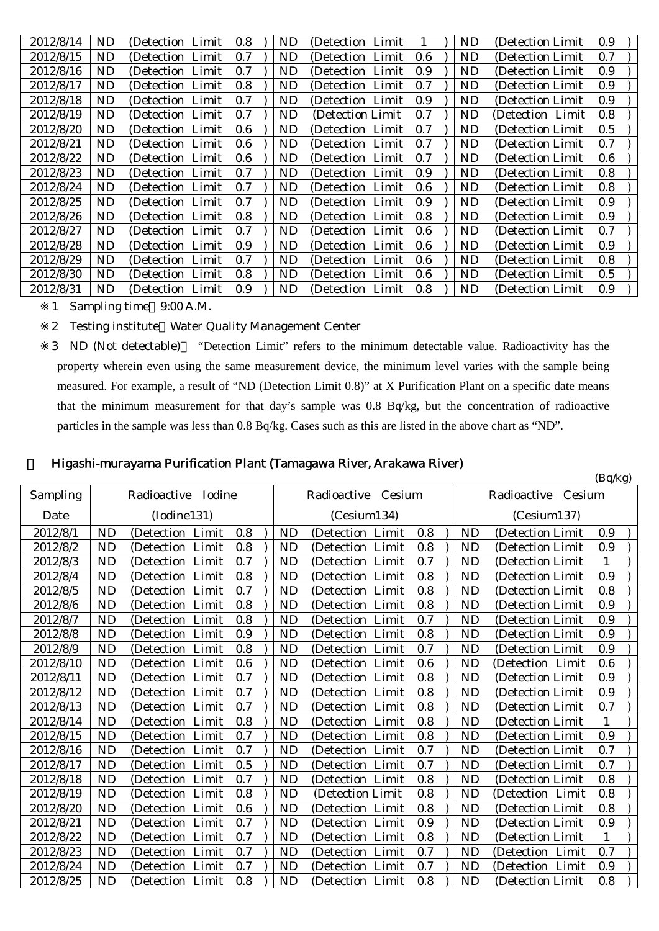| 2012/8/14 | ND        | (Detection Limit) | 0.8     | ND | (Detection Limit) |     | ND        | (Detection Limit) | 0.9 |
|-----------|-----------|-------------------|---------|----|-------------------|-----|-----------|-------------------|-----|
| 2012/8/15 | ND        | (Detection Limit) | 0.7     | ND | (Detection Limit) | 0.6 | ND        | (Detection Limit) | 0.7 |
| 2012/8/16 | ND        | (Detection Limit) | 0.7     | ND | (Detection Limit  | 0.9 | ND        | (Detection Limit) | 0.9 |
| 2012/8/17 | <b>ND</b> | (Detection Limit) | 0.8     | ND | (Detection Limit  | 0.7 | ND        | (Detection Limit) | 0.9 |
| 2012/8/18 | ND        | (Detection Limit) | 0.7     | ND | (Detection Limit) | 0.9 | ND        | (Detection Limit) | 0.9 |
| 2012/8/19 | ND.       | (Detection Limit) | 0.7     | ND | (Detection Limit) | 0.7 | ND        | (Detection Limit  | 0.8 |
| 2012/8/20 | ND.       | (Detection Limit) | 0.6     | ND | (Detection Limit  | 0.7 | ND        | (Detection Limit) | 0.5 |
| 2012/8/21 | ND.       | (Detection Limit) | $0.6\,$ | ND | (Detection Limit  | 0.7 | ND        | (Detection Limit) | 0.7 |
| 2012/8/22 | ND        | (Detection Limit) | 0.6     | ND | (Detection Limit  | 0.7 | ND        | (Detection Limit) | 0.6 |
| 2012/8/23 | ND        | (Detection Limit) | 0.7     | ND | (Detection Limit  | 0.9 | ND        | (Detection Limit) | 0.8 |
| 2012/8/24 | ND        | (Detection Limit) | 0.7     | ND | (Detection Limit) | 0.6 | ND        | (Detection Limit) | 0.8 |
| 2012/8/25 | ND        | (Detection Limit) | 0.7     | ND | (Detection Limit) | 0.9 | ND        | (Detection Limit) | 0.9 |
| 2012/8/26 | ND        | (Detection Limit) | 0.8     | ND | (Detection Limit) | 0.8 | ND        | (Detection Limit) | 0.9 |
| 2012/8/27 | <b>ND</b> | (Detection Limit) | 0.7     | ND | (Detection Limit) | 0.6 | <b>ND</b> | (Detection Limit) | 0.7 |
| 2012/8/28 | ND        | (Detection Limit) | 0.9     | ND | (Detection Limit) | 0.6 | ND        | (Detection Limit) | 0.9 |
| 2012/8/29 | ND        | (Detection Limit) | 0.7     | ND | (Detection Limit) | 0.6 | ND        | (Detection Limit) | 0.8 |
| 2012/8/30 | ND        | (Detection Limit) | 0.8     | ND | (Detection Limit) | 0.6 | ND        | (Detection Limit) | 0.5 |
| 2012/8/31 | ND        | (Detection Limit) | 0.9     | ND | (Detection Limit) | 0.8 | ND        | (Detection Limit) | 0.9 |
|           |           |                   |         |    |                   |     |           |                   |     |

- 1 Sampling time 9:00 A.M.
- 2 Testing institute Water Quality Management Center

3 ND (Not detectable) "Detection Limit" refers to the minimum detectable value. Radioactivity has the property wherein even using the same measurement device, the minimum level varies with the sample being measured. For example, a result of "ND (Detection Limit 0.8)" at X Purification Plant on a specific date means that the minimum measurement for that day's sample was 0.8 Bq/kg, but the concentration of radioactive particles in the sample was less than 0.8 Bq/kg. Cases such as this are listed in the above chart as "ND".

| Higashi-murayama Purification Plant (Tamagawa River, Arakawa River) |  |  |
|---------------------------------------------------------------------|--|--|
|                                                                     |  |  |

|           |           |                      |     |           |                      |     |           |                       | (Bq/kg) |
|-----------|-----------|----------------------|-----|-----------|----------------------|-----|-----------|-----------------------|---------|
| Sampling  |           | Radioactive Iodine   |     |           | Radioactive Cesium   |     |           | Radioactive<br>Cesium |         |
| Date      |           | (Iodine131)          |     |           | (Cesium134)          |     |           | (Cesium137)           |         |
| 2012/8/1  | <b>ND</b> | (Detection Limit     | 0.8 | <b>ND</b> | Limit<br>(Detection) | 0.8 | <b>ND</b> | (Detection Limit      | 0.9     |
| 2012/8/2  | <b>ND</b> | Limit<br>(Detection) | 0.8 | <b>ND</b> | (Detection Limit     | 0.8 | <b>ND</b> | (Detection Limit      | 0.9     |
| 2012/8/3  | <b>ND</b> | (Detection Limit     | 0.7 | ND        | (Detection Limit     | 0.7 | <b>ND</b> | (Detection Limit)     | 1       |
| 2012/8/4  | <b>ND</b> | (Detection Limit     | 0.8 | <b>ND</b> | (Detection Limit     | 0.8 | <b>ND</b> | (Detection Limit      | 0.9     |
| 2012/8/5  | <b>ND</b> | (Detection Limit     | 0.7 | ND        | (Detection Limit     | 0.8 | <b>ND</b> | (Detection Limit      | 0.8     |
| 2012/8/6  | <b>ND</b> | (Detection Limit     | 0.8 | <b>ND</b> | (Detection Limit     | 0.8 | <b>ND</b> | (Detection Limit      | 0.9     |
| 2012/8/7  | <b>ND</b> | Limit<br>(Detection) | 0.8 | <b>ND</b> | Limit<br>(Detection  | 0.7 | <b>ND</b> | (Detection Limit      | 0.9     |
| 2012/8/8  | <b>ND</b> | Limit<br>(Detection) | 0.9 | <b>ND</b> | Limit<br>(Detection) | 0.8 | <b>ND</b> | (Detection Limit      | 0.9     |
| 2012/8/9  | <b>ND</b> | (Detection Limit     | 0.8 | ND        | (Detection Limit     | 0.7 | <b>ND</b> | (Detection Limit      | 0.9     |
| 2012/8/10 | <b>ND</b> | (Detection Limit     | 0.6 | <b>ND</b> | (Detection Limit     | 0.6 | <b>ND</b> | (Detection Limit      | 0.6     |
| 2012/8/11 | <b>ND</b> | (Detection Limit     | 0.7 | <b>ND</b> | (Detection Limit     | 0.8 | <b>ND</b> | (Detection Limit      | 0.9     |
| 2012/8/12 | <b>ND</b> | (Detection Limit     | 0.7 | ND        | (Detection Limit     | 0.8 | <b>ND</b> | (Detection Limit)     | 0.9     |
| 2012/8/13 | <b>ND</b> | Limit<br>(Detection) | 0.7 | <b>ND</b> | Limit<br>(Detection) | 0.8 | <b>ND</b> | (Detection Limit      | 0.7     |
| 2012/8/14 | <b>ND</b> | Limit<br>(Detection) | 0.8 | <b>ND</b> | Limit<br>(Detection) | 0.8 | <b>ND</b> | (Detection Limit      | 1       |
| 2012/8/15 | <b>ND</b> | (Detection Limit     | 0.7 | ND        | (Detection Limit     | 0.8 | <b>ND</b> | (Detection Limit      | 0.9     |
| 2012/8/16 | <b>ND</b> | Limit<br>(Detection  | 0.7 | <b>ND</b> | Limit<br>(Detection  | 0.7 | <b>ND</b> | (Detection Limit      | 0.7     |
| 2012/8/17 | <b>ND</b> | Limit<br>(Detection) | 0.5 | <b>ND</b> | Limit<br>(Detection  | 0.7 | <b>ND</b> | (Detection Limit      | 0.7     |
| 2012/8/18 | <b>ND</b> | (Detection Limit)    | 0.7 | <b>ND</b> | (Detection Limit     | 0.8 | <b>ND</b> | (Detection Limit      | 0.8     |
| 2012/8/19 | <b>ND</b> | Limit<br>(Detection) | 0.8 | <b>ND</b> | (Detection Limit     | 0.8 | <b>ND</b> | (Detection Limit      | 0.8     |
| 2012/8/20 | <b>ND</b> | Limit<br>(Detection) | 0.6 | <b>ND</b> | (Detection<br>Limit  | 0.8 | <b>ND</b> | (Detection Limit      | 0.8     |
| 2012/8/21 | <b>ND</b> | (Detection Limit)    | 0.7 | <b>ND</b> | (Detection Limit)    | 0.9 | <b>ND</b> | (Detection Limit      | 0.9     |
| 2012/8/22 | <b>ND</b> | (Detection Limit     | 0.7 | <b>ND</b> | Limit<br>(Detection) | 0.8 | <b>ND</b> | (Detection Limit      | 1       |
| 2012/8/23 | <b>ND</b> | Limit<br>(Detection) | 0.7 | <b>ND</b> | Limit<br>(Detection  | 0.7 | <b>ND</b> | (Detection Limit      | 0.7     |
| 2012/8/24 | <b>ND</b> | Limit<br>(Detection) | 0.7 | <b>ND</b> | Limit<br>(Detection  | 0.7 | <b>ND</b> | (Detection Limit      | 0.9     |
| 2012/8/25 | <b>ND</b> | (Detection)<br>Limit | 0.8 | <b>ND</b> | Limit<br>(Detection  | 0.8 | <b>ND</b> | (Detection Limit      | 0.8     |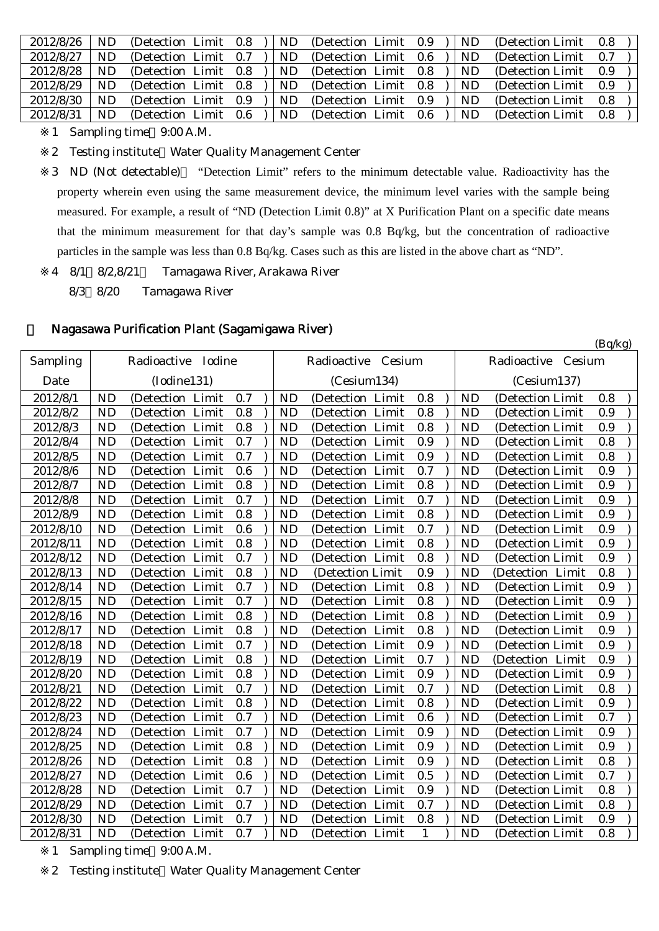| 2012/8/26 | ND | (Detection Limit 0.8) |     | ND  | (Detection Limit) | 0.9   | ND | (Detection Limit) | 0.8 |  |
|-----------|----|-----------------------|-----|-----|-------------------|-------|----|-------------------|-----|--|
| 2012/8/27 | ND | (Detection Limit 0.7) |     | ND  | (Detection Limit) | 0.6   | ND | (Detection Limit) | 0.7 |  |
| 2012/8/28 | ND | (Detection Limit 0.8) |     | ND. | (Detection Limit) | 0.8   | ND | (Detection Limit) | 0.9 |  |
| 2012/8/29 | ND | (Detection Limit 0.8) |     | ND  | (Detection Limit) | 0.8   | ND | (Detection Limit) | 0.9 |  |
| 2012/8/30 | ND | (Detection Limit 0.9) |     | ND. | (Detection Limit) | - 0.9 | ND | (Detection Limit) | 0.8 |  |
| 2012/8/31 | ND | (Detection Limit)     | 0.6 | ND  | (Detection Limit) | 0.6   | ND | (Detection Limit) | 0.8 |  |
|           |    |                       |     |     |                   |       |    |                   |     |  |

1 Sampling time 9:00 A.M.

2 Testing institute Water Quality Management Center

3 ND (Not detectable) "Detection Limit" refers to the minimum detectable value. Radioactivity has the property wherein even using the same measurement device, the minimum level varies with the sample being measured. For example, a result of "ND (Detection Limit 0.8)" at X Purification Plant on a specific date means that the minimum measurement for that day's sample was 0.8 Bq/kg, but the concentration of radioactive particles in the sample was less than 0.8 Bq/kg. Cases such as this are listed in the above chart as "ND".

(Bq/kg)

- 4 8/1 8/2,8/21~ Tamagawa River, Arakawa River
	- 8/3 8/20 Tamagawa River

# 5 Nagasawa Purification Plant (Sagamigawa River)

| Sampling  |           | Radioactive Iodine  |         |           | Radioactive Cesium   |              |           | Radioactive Cesium |     |  |
|-----------|-----------|---------------------|---------|-----------|----------------------|--------------|-----------|--------------------|-----|--|
| Date      |           | (Iodine131)         |         |           | (Cesium134)          |              |           | (Cesium137)        |     |  |
| 2012/8/1  | <b>ND</b> | (Detection Limit    | 0.7     | <b>ND</b> | (Detection Limit     | 0.8          | <b>ND</b> | (Detection Limit   | 0.8 |  |
| 2012/8/2  | <b>ND</b> | (Detection Limit    | 0.8     | <b>ND</b> | Limit<br>(Detection) | 0.8          | <b>ND</b> | (Detection Limit   | 0.9 |  |
| 2012/8/3  | <b>ND</b> | (Detection Limit    | 0.8     | <b>ND</b> | (Detection Limit     | 0.8          | <b>ND</b> | (Detection Limit   | 0.9 |  |
| 2012/8/4  | <b>ND</b> | (Detection Limit    | 0.7     | <b>ND</b> | (Detection Limit     | 0.9          | <b>ND</b> | (Detection Limit)  | 0.8 |  |
| 2012/8/5  | <b>ND</b> | (Detection Limit    | 0.7     | <b>ND</b> | Limit<br>(Detection  | 0.9          | <b>ND</b> | (Detection Limit)  | 0.8 |  |
| 2012/8/6  | <b>ND</b> | (Detection Limit    | 0.6     | <b>ND</b> | (Detection Limit     | 0.7          | <b>ND</b> | (Detection Limit   | 0.9 |  |
| 2012/8/7  | <b>ND</b> | (Detection Limit    | $0.8\,$ | <b>ND</b> | (Detection Limit     | 0.8          | <b>ND</b> | (Detection Limit   | 0.9 |  |
| 2012/8/8  | <b>ND</b> | (Detection Limit)   | 0.7     | <b>ND</b> | (Detection Limit     | 0.7          | <b>ND</b> | (Detection Limit)  | 0.9 |  |
| 2012/8/9  | <b>ND</b> | (Detection Limit    | 0.8     | <b>ND</b> | (Detection Limit     | 0.8          | <b>ND</b> | (Detection Limit   | 0.9 |  |
| 2012/8/10 | <b>ND</b> | (Detection Limit    | 0.6     | ND        | (Detection Limit     | 0.7          | <b>ND</b> | (Detection Limit)  | 0.9 |  |
| 2012/8/11 | <b>ND</b> | (Detection Limit    | 0.8     | <b>ND</b> | (Detection Limit     | 0.8          | <b>ND</b> | (Detection Limit   | 0.9 |  |
| 2012/8/12 | <b>ND</b> | (Detection Limit    | 0.7     | <b>ND</b> | (Detection Limit     | 0.8          | <b>ND</b> | (Detection Limit   | 0.9 |  |
| 2012/8/13 | <b>ND</b> | (Detection Limit    | 0.8     | <b>ND</b> | (Detection Limit     | 0.9          | <b>ND</b> | (Detection Limit   | 0.8 |  |
| 2012/8/14 | <b>ND</b> | (Detection Limit    | 0.7     | <b>ND</b> | (Detection Limit     | 0.8          | <b>ND</b> | (Detection Limit)  | 0.9 |  |
| 2012/8/15 | <b>ND</b> | (Detection Limit    | 0.7     | <b>ND</b> | (Detection Limit     | 0.8          | <b>ND</b> | (Detection Limit   | 0.9 |  |
| 2012/8/16 | <b>ND</b> | Limit<br>(Detection | 0.8     | <b>ND</b> | (Detection<br>Limit  | 0.8          | <b>ND</b> | (Detection Limit   | 0.9 |  |
| 2012/8/17 | <b>ND</b> | (Detection Limit    | 0.8     | <b>ND</b> | (Detection Limit     | 0.8          | <b>ND</b> | (Detection Limit   | 0.9 |  |
| 2012/8/18 | <b>ND</b> | (Detection Limit    | 0.7     | <b>ND</b> | (Detection Limit     | 0.9          | <b>ND</b> | (Detection Limit   | 0.9 |  |
| 2012/8/19 | <b>ND</b> | (Detection Limit    | 0.8     | <b>ND</b> | (Detection Limit     | 0.7          | <b>ND</b> | (Detection Limit   | 0.9 |  |
| 2012/8/20 | <b>ND</b> | (Detection Limit    | 0.8     | <b>ND</b> | (Detection<br>Limit  | 0.9          | <b>ND</b> | (Detection Limit   | 0.9 |  |
| 2012/8/21 | <b>ND</b> | (Detection Limit    | 0.7     | <b>ND</b> | (Detection Limit     | 0.7          | <b>ND</b> | (Detection Limit)  | 0.8 |  |
| 2012/8/22 | <b>ND</b> | (Detection Limit    | 0.8     | <b>ND</b> | (Detection Limit     | 0.8          | <b>ND</b> | (Detection Limit   | 0.9 |  |
| 2012/8/23 | <b>ND</b> | (Detection Limit    | 0.7     | <b>ND</b> | (Detection Limit     | 0.6          | <b>ND</b> | (Detection Limit   | 0.7 |  |
| 2012/8/24 | <b>ND</b> | (Detection Limit    | 0.7     | <b>ND</b> | (Detection Limit     | 0.9          | <b>ND</b> | (Detection Limit   | 0.9 |  |
| 2012/8/25 | <b>ND</b> | Limit<br>(Detection | 0.8     | <b>ND</b> | Limit<br>(Detection  | 0.9          | <b>ND</b> | (Detection Limit   | 0.9 |  |
| 2012/8/26 | <b>ND</b> | (Detection Limit    | 0.8     | <b>ND</b> | (Detection Limit     | 0.9          | <b>ND</b> | (Detection Limit   | 0.8 |  |
| 2012/8/27 | <b>ND</b> | (Detection Limit    | 0.6     | <b>ND</b> | (Detection Limit     | 0.5          | <b>ND</b> | (Detection Limit)  | 0.7 |  |
| 2012/8/28 | <b>ND</b> | (Detection Limit    | 0.7     | <b>ND</b> | (Detection Limit     | 0.9          | <b>ND</b> | (Detection Limit)  | 0.8 |  |
| 2012/8/29 | <b>ND</b> | (Detection Limit    | 0.7     | <b>ND</b> | (Detection Limit     | 0.7          | <b>ND</b> | (Detection Limit   | 0.8 |  |
| 2012/8/30 | <b>ND</b> | (Detection Limit    | 0.7     | <b>ND</b> | (Detection Limit     | 0.8          | <b>ND</b> | (Detection Limit   | 0.9 |  |
| 2012/8/31 | <b>ND</b> | (Detection Limit    | 0.7     | <b>ND</b> | (Detection Limit)    | $\mathbf{1}$ | <b>ND</b> | (Detection Limit)  | 0.8 |  |

1 Sampling time 9:00 A.M.

2 Testing institute Water Quality Management Center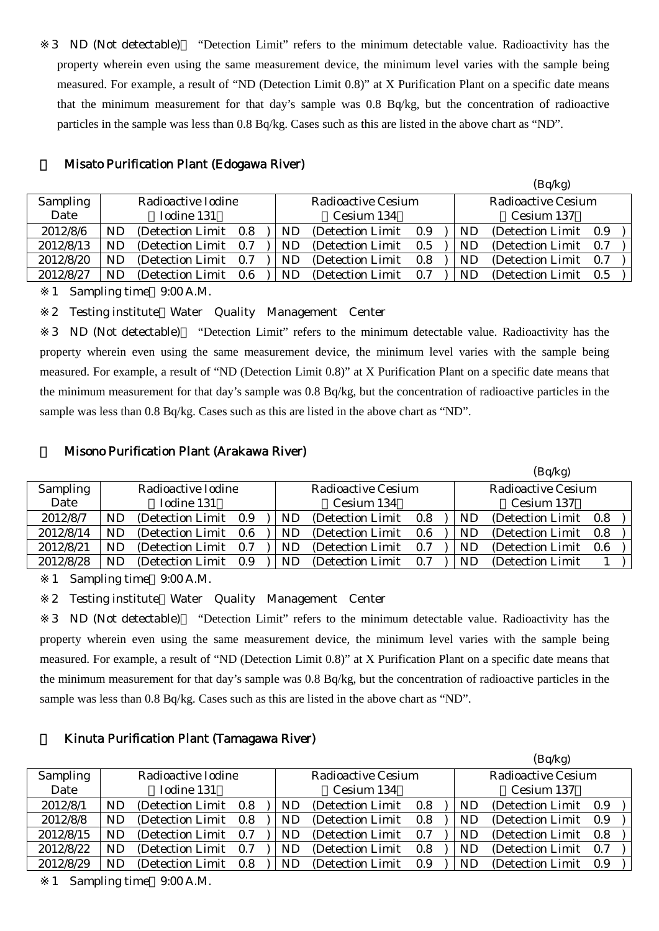3 ND (Not detectable) "Detection Limit" refers to the minimum detectable value. Radioactivity has the property wherein even using the same measurement device, the minimum level varies with the sample being measured. For example, a result of "ND (Detection Limit 0.8)" at X Purification Plant on a specific date means that the minimum measurement for that day's sample was 0.8 Bq/kg, but the concentration of radioactive particles in the sample was less than 0.8 Bq/kg. Cases such as this are listed in the above chart as "ND".

|                 |           |                       |     |     |                           |     |           | \ <sup>-</sup> 1' -7'     |  |
|-----------------|-----------|-----------------------|-----|-----|---------------------------|-----|-----------|---------------------------|--|
| <b>Sampling</b> |           | Radioactive Iodine    |     |     | <b>Radioactive Cesium</b> |     |           | <b>Radioactive Cesium</b> |  |
| Date            |           | Iodine 131            |     |     | Cesium 134                |     |           | Cesium 137                |  |
| 2012/8/6        | <b>ND</b> | (Detection Limit 0.8) |     | ND  | (Detection Limit)         | 0.9 | ND        | (Detection Limit 0.9)     |  |
| 2012/8/13       | NΕ        | (Detection Limit)     | 0.7 | ND  | (Detection Limit)         | 0.5 | <b>ND</b> | (Detection Limit 0.7)     |  |
| 2012/8/20       | NL        | (Detection Limit)     | 0.7 | ND. | (Detection Limit)         | 0.8 | ND        | (Detection Limit 0.7)     |  |
| 2012/8/27       | ND        | (Detection Limit)     | 0.6 | ND  | (Detection Limit)         | 0.7 | ND        | (Detection Limit 0.5)     |  |

 $(R_n/k_0)$ 

## 6 Misato Purification Plant (Edogawa River)

1 Sampling time 9:00 A.M.

2 Testing institute Water Quality Management Center

3 ND (Not detectable) "Detection Limit" refers to the minimum detectable value. Radioactivity has the property wherein even using the same measurement device, the minimum level varies with the sample being measured. For example, a result of "ND (Detection Limit 0.8)" at X Purification Plant on a specific date means that the minimum measurement for that day's sample was 0.8 Bq/kg, but the concentration of radioactive particles in the sample was less than 0.8 Bq/kg. Cases such as this are listed in the above chart as "ND".

#### 7 Misono Purification Plant (Arakawa River)

|           |           |                    |     |     |                           |     |           | (Bq/kg)                   |     |  |
|-----------|-----------|--------------------|-----|-----|---------------------------|-----|-----------|---------------------------|-----|--|
| Sampling  |           | Radioactive Iodine |     |     | <b>Radioactive Cesium</b> |     |           | <b>Radioactive Cesium</b> |     |  |
| Date      |           | Iodine 131         |     |     | Cesium 134                |     |           | Cesium 137                |     |  |
| 2012/8/7  | <b>ND</b> | (Detection Limit   | 0.9 | ND  | (Detection Limit)         | 0.8 | ND        | (Detection Limit 0.8)     |     |  |
| 2012/8/14 | <b>ND</b> | (Detection Limit   | 0.6 | ND. | (Detection Limit)         | 0.6 | ND        | (Detection Limit          | 0.8 |  |
| 2012/8/21 | ND.       | (Detection Limit)  | 0.7 | ND. | (Detection Limit)         | 0.7 | ND.       | (Detection Limit)         | 0.6 |  |
| 2012/8/28 | ND        | (Detection Limit)  | 0.9 | ND. | (Detection Limit)         | 0.7 | <b>ND</b> | (Detection Limit)         |     |  |

1 Sampling time 9:00 A.M.

2 Testing institute Water Quality Management Center

3 ND (Not detectable) "Detection Limit" refers to the minimum detectable value. Radioactivity has the property wherein even using the same measurement device, the minimum level varies with the sample being measured. For example, a result of "ND (Detection Limit 0.8)" at X Purification Plant on a specific date means that the minimum measurement for that day's sample was 0.8 Bq/kg, but the concentration of radioactive particles in the sample was less than 0.8 Bq/kg. Cases such as this are listed in the above chart as "ND".

#### 8 Kinuta Purification Plant (Tamagawa River)

|           |           |                       |     |           |                    |     |     | (Bq/kg)                   |     |  |
|-----------|-----------|-----------------------|-----|-----------|--------------------|-----|-----|---------------------------|-----|--|
| Sampling  |           | Radioactive Iodine    |     |           | Radioactive Cesium |     |     | <b>Radioactive Cesium</b> |     |  |
| Date      |           | Iodine 131            |     |           | Cesium 134         |     |     | Cesium 137                |     |  |
| 2012/8/1  | ND        | (Detection Limit 0.8) |     | ND.       | (Detection Limit)  | 0.8 | ND  | (Detection Limit 0.9)     |     |  |
| 2012/8/8  | <b>ND</b> | (Detection Limit)     | 0.8 | ND.       | (Detection Limit)  | 0.8 | ND. | (Detection Limit)         | 0.9 |  |
| 2012/8/15 | <b>ND</b> | (Detection Limit)     | 0.7 | ND        | (Detection Limit)  | 0.7 | ND  | (Detection Limit)         | 0.8 |  |
| 2012/8/22 | ND        | (Detection Limit)     | 0.7 | ND.       | (Detection Limit)  | 0.8 | ND  | (Detection Limit)         | 0.7 |  |
| 2012/8/29 | ND        | (Detection Limit)     | 0.8 | <b>ND</b> | (Detection Limit)  | 0.9 | ND  | (Detection Limit)         | 0.9 |  |

1 Sampling time 9:00 A.M.